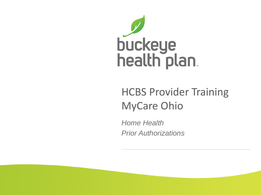

#### HCBS Provider Training MyCare Ohio

*Home Health Prior Authorizations*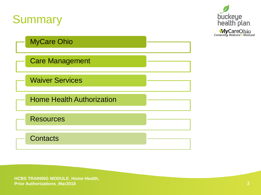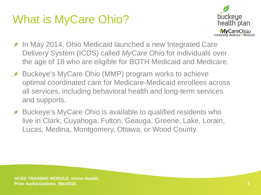# What is MyCare Ohio?



- In May 2014, Ohio Medicaid launched a new Integrated Care  $\mathcal{L}$ Delivery System (ICDS) called *MyCare Ohio* for individuals over the age of 18 who are eligible for BOTH Medicaid and Medicare.
- Buckeye's MyCare Ohio (MMP) program works to achieve  $\mathscr{D}$ optimal coordinated care for Medicare-Medicaid enrollees across all services, including behavioral health and long-term services and supports.
- Buckeye's MyCare Ohio is available to qualified residents who  $\mathscr{D}$ live in Clark, Cuyahoga, Fulton, Geauga, Greene, Lake, Lorain, Lucas, Medina, Montgomery, Ottawa, or Wood County.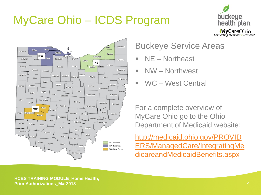# MyCare Ohio – ICDS Program





#### Buckeye Service Areas

- NE Northeast
- **NW** Northwest
- WC West Central

For a complete overview of MyCare Ohio go to the Ohio Department of Medicaid website:

http://medicaid.ohio.gov/PROVID [ERS/ManagedCare/IntegratingMe](http://medicaid.ohio.gov/PROVIDERS/ManagedCare/IntegratingMedicareandMedicaidBenefits.aspx) dicareandMedicaidBenefits.aspx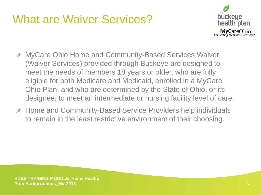#### What are Waiver Services?



- **MyCare Ohio Home and Community-Based Services Waiver** (Waiver Services) provided through Buckeye are designed to meet the needs of members 18 years or older, who are fully eligible for both Medicare and Medicaid, enrolled in a MyCare Ohio Plan, and who are determined by the State of Ohio, or its designee, to meet an intermediate or nursing facility level of care.
- **Home and Community-Based Service Providers help individuals** to remain in the least restrictive environment of their choosing.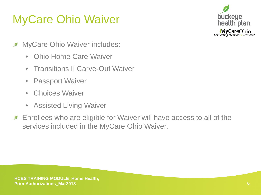# MyCare Ohio Waiver



- MyCare Ohio Waiver includes:  $\mathscr{D}$ 
	- Ohio Home Care Waiver
	- Transitions II Carve-Out Waiver
	- Passport Waiver
	- Choices Waiver
	- Assisted Living Waiver
- Enrollees who are eligible for Waiver will have access to all of the  $\mathscr{D}$ services included in the MyCare Ohio Waiver.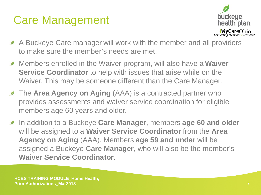#### Care Management



- A Buckeye Care manager will work with the member and all providers to make sure the member's needs are met.
- Members enrolled in the Waiver program, will also have a **Waiver Service Coordinator** to help with issues that arise while on the Waiver. This may be someone different than the Care Manager.
- **The Area Agency on Aging** (AAA) is a contracted partner who provides assessments and waiver service coordination for eligible members age 60 years and older.
- In addition to a Buckeye **Care Manager**, members **age 60 and older**  will be assigned to a **Waiver Service Coordinator** from the **Area Agency on Aging** (AAA). Members **age 59 and under** will be assigned a Buckeye **Care Manager**, who will also be the member's **Waiver Service Coordinator**.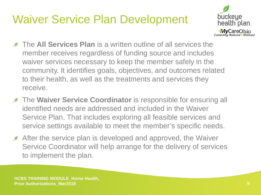# Waiver Service Plan Development



- The **All Services Plan** is a written outline of all services the  $\mathscr{D}$ member receives regardless of funding source and includes waiver services necessary to keep the member safely in the community. It identifies goals, objectives, and outcomes related to their health, as well as the treatments and services they receive.
- **The Waiver Service Coordinator** is responsible for ensuring all identified needs are addressed and included in the Waiver Service Plan. That includes exploring all feasible services and service settings available to meet the member's specific needs.
- After the service plan is developed and approved, the Waiver  $\mathscr{D}$ Service Coordinator will help arrange for the delivery of services to implement the plan.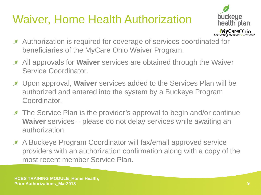# Waiver, Home Health Authorization



- Authorization is required for coverage of services coordinated for  $\mathscr{D}$ beneficiaries of the MyCare Ohio Waiver Program.
- All approvals for **Waiver** services are obtained through the Waiver  $\mathscr{D}$ Service Coordinator.
- Upon approval, **Waiver** services added to the Services Plan will be  $\mathscr{D}$ authorized and entered into the system by a Buckeye Program Coordinator.
- **The Service Plan is the provider's approval to begin and/or continue Waiver** services – please do not delay services while awaiting an authorization.
- A Buckeye Program Coordinator will fax/email approved service  $\mathscr{D}$ providers with an authorization confirmation along with a copy of the most recent member Service Plan.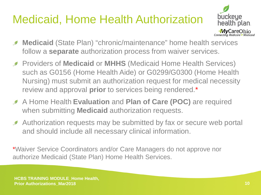# Medicaid, Home Health Authorization



- **Medicaid** (State Plan) "chronic/maintenance" home health services  $\mathscr{D}$ follow a **separate** authorization process from waiver services.
- **Providers of Medicaid or MHHS** (Medicaid Home Health Services) such as G0156 (Home Health Aide) or G0299/G0300 (Home Health Nursing) must submit an authorization request for medical necessity review and approval **prior** to services being rendered.\*
- A Home Health **Evaluation** and **Plan of Care (POC)** are required when submitting **Medicaid** authorization requests.
- Authorization requests may be submitted by fax or secure web portal  $\mathscr{D}$ and should include all necessary clinical information.

\*Waiver Service Coordinators and/or Care Managers do not approve nor authorize Medicaid (State Plan) Home Health Services.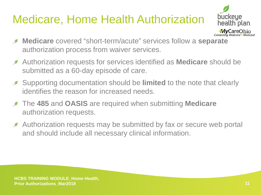# Medicare, Home Health Authorization



- **Medicare** covered "short-term/acute" services follow a **separate**   $\mathscr{D}$ authorization process from waiver services.
- Authorization requests for services identified as **Medicare** should be  $\mathscr{D}$ submitted as a 60-day episode of care.
- Supporting documentation should be **limited** to the note that clearly identifies the reason for increased needs.
- The **485** and **OASIS** are required when submitting **Medicare**  $\mathscr{D}$ authorization requests.
- Authorization requests may be submitted by fax or secure web portal  $\mathscr{L}$ and should include all necessary clinical information.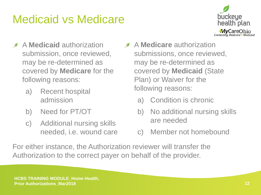# Medicaid vs Medicare



- A **Medicaid** authorization  $\mathscr{D}$ submission, once reviewed, may be re-determined as covered by **Medicare** for the following reasons:
	- a) Recent hospital admission
	- b) Need for PT/OT
	- c) Additional nursing skills needed, i.e. wound care
- **A Medicare** authorization submissions, once reviewed, may be re-determined as covered by **Medicaid** (State Plan) or Waiver for the following reasons:
	- a) Condition is chronic
	- b) No additional nursing skills are needed
	- c) Member not homebound

For either instance, the Authorization reviewer will transfer the Authorization to the correct payer on behalf of the provider.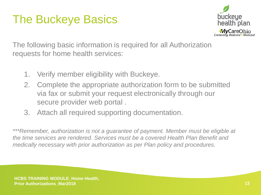# The Buckeye Basics



The following basic information is required for all Authorization requests for home health services:

- 1. Verify member eligibility with Buckeye.
- 2. Complete the appropriate authorization form to be submitted via fax or submit your request electronically through our secure provider web portal .
- 3. Attach all required supporting documentation.

*\*\*\*Remember, authorization is not a guarantee of payment. Member must be eligible at the time services are rendered. Services must be a covered Health Plan Benefit and medically necessary with prior authorization as per Plan policy and procedures.*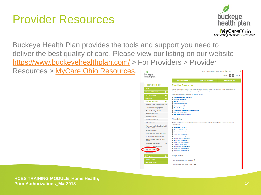#### Provider Resources



Buckeye Health Plan provides the tools and support you need to deliver the best quality of care. Please view our listing on our website <https://www.buckeyehealthplan.com/> > For Providers > Provider

Resources > [MyCare Ohio Resources](https://www.buckeyehealthplan.com/providers/resources/mycare-ohio-resources-.html).

|                                                     |           |                                                                                 | Home Find a Provider Login Contact (Q search                                                                                |                     |  |
|-----------------------------------------------------|-----------|---------------------------------------------------------------------------------|-----------------------------------------------------------------------------------------------------------------------------|---------------------|--|
| buckeye<br>health plan.                             |           | Contrast On<br>loπl<br>$a$ a a                                                  |                                                                                                                             |                     |  |
|                                                     |           | <b>FOR MEMBERS</b>                                                              | <b>FOR PROVIDERS</b>                                                                                                        | <b>GET IN SURED</b> |  |
| <b>FOR PROVIDERS</b>                                |           | <b>Provider Resources</b>                                                       |                                                                                                                             |                     |  |
| Login                                               |           |                                                                                 | Buckeye Health Plan provides the tools and support you need to deliver the best quality of care. Please view our listing on |                     |  |
| <b>Become a Provider</b>                            | $\bullet$ | the left, or below, that covers forms, guidelines, helpful links, and training. |                                                                                                                             |                     |  |
| <b>Pre-Auth Check</b>                               | ō         | For Ambetter Information, please visit our Ambetter website.                    |                                                                                                                             |                     |  |
| Pharmacy                                            | ō         | Manuals, Forms and Resources                                                    |                                                                                                                             |                     |  |
| <b>Provider Resources</b>                           | ۵         | <b>Eligibility Verification</b><br><b>Prior Authorization</b>                   |                                                                                                                             |                     |  |
| Manuals, Forms and Resources @                      |           | <b>Electronic Transactions</b>                                                  |                                                                                                                             |                     |  |
| 2018 Provider Policy Updates                        |           | <b>Preferred Drug Lists</b><br><b>Provider Training</b>                         |                                                                                                                             |                     |  |
| Provider Training & Webinars                        |           | Advantage & MyCare Model of Care Training                                       |                                                                                                                             |                     |  |
| <b>Eligibility Verification</b>                     |           | <b>MMP Key Contact List</b>                                                     |                                                                                                                             |                     |  |
|                                                     |           | MMP Walver Billing Code List                                                    |                                                                                                                             |                     |  |
| Grievance Process                                   |           | <b>Newsletters</b>                                                              |                                                                                                                             |                     |  |
| <b>Incentives Statement</b>                         |           |                                                                                 |                                                                                                                             |                     |  |
| <b>Integrated Care</b>                              |           | 1-866-296-8731.                                                                 | Provider newsletters are also available in hard copy upon request by calling Buckeye's Provider Services department at      |                     |  |
| Advantage and MyCare Ohio Model<br>of Care Training |           | Fall 2017 Provider Report                                                       |                                                                                                                             |                     |  |
| Prior Authorization                                 |           | Summer 2017 Provider Report                                                     |                                                                                                                             |                     |  |
| National Imaging Associates (NIA)                   |           | Spring 2017 Provider Report<br>Winter 2017 Provider Report                      |                                                                                                                             |                     |  |
| Report Fraud, Waste and Abuse                       |           | Fall 2016 Provider Report                                                       |                                                                                                                             |                     |  |
| Patient Centered Medical Home                       |           | Summer 2016 Provider Report                                                     |                                                                                                                             |                     |  |
| Model                                               |           | Spring 2016 Provider Report                                                     |                                                                                                                             |                     |  |
| Electronic Transactions                             |           | Winter 2016 Provider Report<br>Fall 2015 Provider Report                        |                                                                                                                             |                     |  |
| Clinical & Payment Policies                         |           | Summer 2015 Provider Report                                                     |                                                                                                                             |                     |  |
| MyCare Ohio Resour                                  |           | Spring 2015 Provider Report                                                     |                                                                                                                             |                     |  |
| <b>Healthchek</b>                                   |           | Winter 2015 Provider Report                                                     |                                                                                                                             |                     |  |
| QI Program                                          | ō         | <b>Helpful Links</b>                                                            |                                                                                                                             |                     |  |
| <b>Provider News</b>                                |           | <b>MEDICAID HELPFUL LINKS @</b>                                                 |                                                                                                                             |                     |  |
| <b>Behavioral Health</b>                            |           |                                                                                 |                                                                                                                             |                     |  |
|                                                     |           | MEDICARE HELPELIL LINKS O                                                       |                                                                                                                             |                     |  |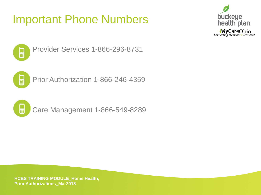#### Important Phone Numbers





Provider Services 1-866-296-8731



Prior Authorization 1-866-246-4359



Care Management 1-866-549-8289

**HCBS TRAINING MODULE\_Home Health, Prior Authorizations\_Mar2018**